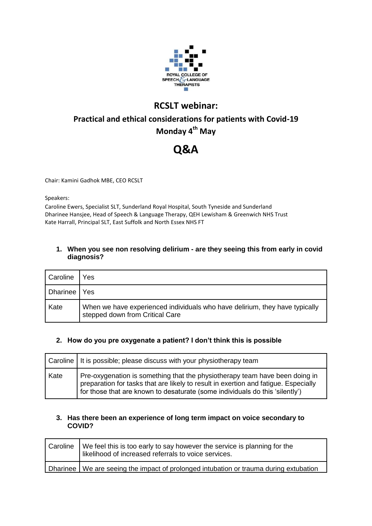

# **RCSLT webinar:**

# **Practical and ethical considerations for patients with Covid-19 Monday 4th May**

# **Q&A**

Chair: Kamini Gadhok MBE, CEO RCSLT

Speakers:

Caroline Ewers, Specialist SLT, Sunderland Royal Hospital, South Tyneside and Sunderland Dharinee Hansjee, Head of Speech & Language Therapy, QEH Lewisham & Greenwich NHS Trust Kate Harrall, Principal SLT, East Suffolk and North Essex NHS FT

## **1. When you see non resolving delirium - are they seeing this from early in covid diagnosis?**

| Caroline | Yes                                                                                                            |
|----------|----------------------------------------------------------------------------------------------------------------|
| Dharinee | Yes                                                                                                            |
| Kate     | When we have experienced individuals who have delirium, they have typically<br>stepped down from Critical Care |

# **2. How do you pre oxygenate a patient? I don't think this is possible**

|      | Caroline   It is possible; please discuss with your physiotherapy team                                                                                                                                                                             |
|------|----------------------------------------------------------------------------------------------------------------------------------------------------------------------------------------------------------------------------------------------------|
| Kate | Pre-oxygenation is something that the physiotherapy team have been doing in<br>preparation for tasks that are likely to result in exertion and fatigue. Especially<br>for those that are known to desaturate (some individuals do this 'silently') |

#### **3. Has there been an experience of long term impact on voice secondary to COVID?**

| Caroline   We feel this is too early to say however the service is planning for the<br>likelihood of increased referrals to voice services. |
|---------------------------------------------------------------------------------------------------------------------------------------------|
| Dharinee We are seeing the impact of prolonged intubation or trauma during extubation                                                       |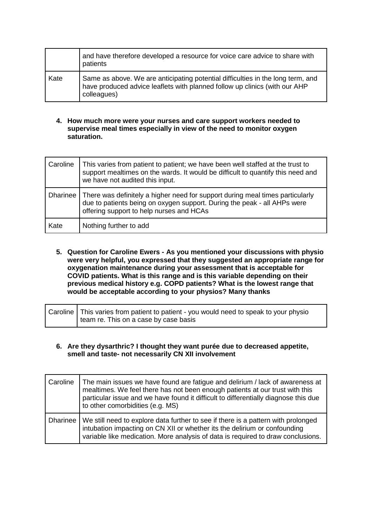|      | and have therefore developed a resource for voice care advice to share with<br>patients                                                                                      |
|------|------------------------------------------------------------------------------------------------------------------------------------------------------------------------------|
| Kate | Same as above. We are anticipating potential difficulties in the long term, and<br>have produced advice leaflets with planned follow up clinics (with our AHP<br>colleagues) |

#### **4. How much more were your nurses and care support workers needed to supervise meal times especially in view of the need to monitor oxygen saturation.**

| Caroline | This varies from patient to patient; we have been well staffed at the trust to<br>support mealtimes on the wards. It would be difficult to quantify this need and<br>we have not audited this input.  |
|----------|-------------------------------------------------------------------------------------------------------------------------------------------------------------------------------------------------------|
| Dharinee | There was definitely a higher need for support during meal times particularly<br>due to patients being on oxygen support. During the peak - all AHPs were<br>offering support to help nurses and HCAs |
| Kate     | Nothing further to add                                                                                                                                                                                |

**5. Question for Caroline Ewers - As you mentioned your discussions with physio were very helpful, you expressed that they suggested an appropriate range for oxygenation maintenance during your assessment that is acceptable for COVID patients. What is this range and is this variable depending on their previous medical history e.g. COPD patients? What is the lowest range that would be acceptable according to your physios? Many thanks**

| Caroline   This varies from patient to patient - you would need to speak to your physio |
|-----------------------------------------------------------------------------------------|
| team re. This on a case by case basis                                                   |

#### **6. Are they dysarthric? I thought they want purée due to decreased appetite, smell and taste- not necessarily CN XII involvement**

| Caroline | The main issues we have found are fatigue and delirium / lack of awareness at<br>mealtimes. We feel there has not been enough patients at our trust with this<br>particular issue and we have found it difficult to differentially diagnose this due<br>to other comorbidities (e.g. MS) |
|----------|------------------------------------------------------------------------------------------------------------------------------------------------------------------------------------------------------------------------------------------------------------------------------------------|
|          | Dharinee   We still need to explore data further to see if there is a pattern with prolonged<br>intubation impacting on CN XII or whether its the delirium or confounding<br>variable like medication. More analysis of data is required to draw conclusions.                            |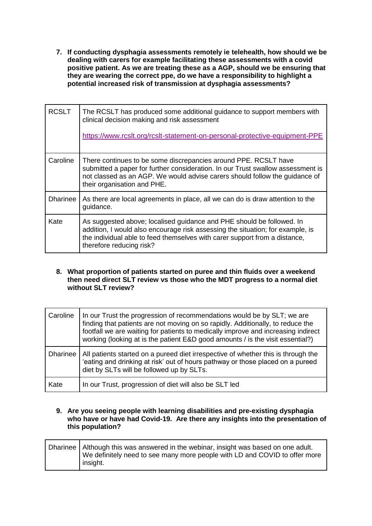**7. If conducting dysphagia assessments remotely ie telehealth, how should we be dealing with carers for example facilitating these assessments with a covid positive patient. As we are treating these as a AGP, should we be ensuring that they are wearing the correct ppe, do we have a responsibility to highlight a potential increased risk of transmission at dysphagia assessments?** 

| <b>RCSLT</b>    | The RCSLT has produced some additional guidance to support members with<br>clinical decision making and risk assessment<br>https://www.rcslt.org/rcslt-statement-on-personal-protective-equipment-PPE                                                             |
|-----------------|-------------------------------------------------------------------------------------------------------------------------------------------------------------------------------------------------------------------------------------------------------------------|
| Caroline        | There continues to be some discrepancies around PPE. RCSLT have<br>submitted a paper for further consideration. In our Trust swallow assessment is<br>not classed as an AGP. We would advise carers should follow the guidance of<br>their organisation and PHE.  |
| <b>Dharinee</b> | As there are local agreements in place, all we can do is draw attention to the<br>guidance.                                                                                                                                                                       |
| Kate            | As suggested above; localised guidance and PHE should be followed. In<br>addition, I would also encourage risk assessing the situation; for example, is<br>the individual able to feed themselves with carer support from a distance,<br>therefore reducing risk? |

#### **8. What proportion of patients started on puree and thin fluids over a weekend then need direct SLT review vs those who the MDT progress to a normal diet without SLT review?**

| Caroline        | In our Trust the progression of recommendations would be by SLT; we are<br>finding that patients are not moving on so rapidly. Additionally, to reduce the<br>footfall we are waiting for patients to medically improve and increasing indirect<br>working (looking at is the patient E&D good amounts / is the visit essential?) |
|-----------------|-----------------------------------------------------------------------------------------------------------------------------------------------------------------------------------------------------------------------------------------------------------------------------------------------------------------------------------|
| <b>Dharinee</b> | All patients started on a pureed diet irrespective of whether this is through the<br>'eating and drinking at risk' out of hours pathway or those placed on a pureed<br>diet by SLTs will be followed up by SLTs.                                                                                                                  |
| Kate            | In our Trust, progression of diet will also be SLT led                                                                                                                                                                                                                                                                            |

#### **9. Are you seeing people with learning disabilities and pre-existing dysphagia who have or have had Covid-19. Are there any insights into the presentation of this population?**

| Dharinee   Although this was answered in the webinar, insight was based on one adult.<br>We definitely need to see many more people with LD and COVID to offer more |
|---------------------------------------------------------------------------------------------------------------------------------------------------------------------|
| insight.                                                                                                                                                            |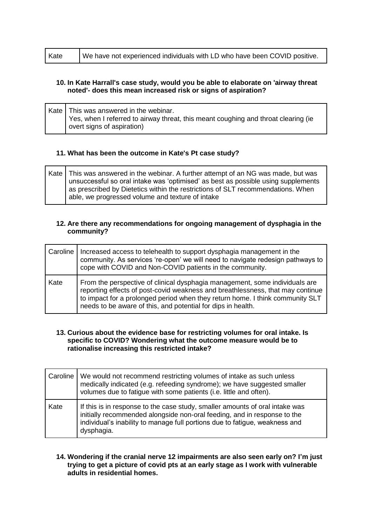| Kate | We have not experienced individuals with LD who have been COVID positive. |
|------|---------------------------------------------------------------------------|
|      |                                                                           |

#### **10. In Kate Harrall's case study, would you be able to elaborate on 'airway threat noted'- does this mean increased risk or signs of aspiration?**

Kate  $\vert$  This was answered in the webinar. Yes, when I referred to airway threat, this meant coughing and throat clearing (ie overt signs of aspiration)

#### **11. What has been the outcome in Kate's Pt case study?**

Kate This was answered in the webinar. A further attempt of an NG was made, but was unsuccessful so oral intake was 'optimised' as best as possible using supplements as prescribed by Dietetics within the restrictions of SLT recommendations. When able, we progressed volume and texture of intake

#### **12. Are there any recommendations for ongoing management of dysphagia in the community?**

| Caroline | Increased access to telehealth to support dysphagia management in the<br>community. As services 're-open' we will need to navigate redesign pathways to<br>cope with COVID and Non-COVID patients in the community.                                                                                            |
|----------|----------------------------------------------------------------------------------------------------------------------------------------------------------------------------------------------------------------------------------------------------------------------------------------------------------------|
| Kate     | From the perspective of clinical dysphagia management, some individuals are<br>reporting effects of post-covid weakness and breathlessness, that may continue<br>to impact for a prolonged period when they return home. I think community SLT<br>needs to be aware of this, and potential for dips in health. |

#### **13. Curious about the evidence base for restricting volumes for oral intake. Is specific to COVID? Wondering what the outcome measure would be to rationalise increasing this restricted intake?**

|      | Caroline   We would not recommend restricting volumes of intake as such unless<br>medically indicated (e.g. refeeding syndrome); we have suggested smaller<br>volumes due to fatigue with some patients (i.e. little and often).                      |
|------|-------------------------------------------------------------------------------------------------------------------------------------------------------------------------------------------------------------------------------------------------------|
| Kate | If this is in response to the case study, smaller amounts of oral intake was<br>initially recommended alongside non-oral feeding, and in response to the<br>individual's inability to manage full portions due to fatigue, weakness and<br>dysphagia. |

#### **14. Wondering if the cranial nerve 12 impairments are also seen early on? I'm just trying to get a picture of covid pts at an early stage as I work with vulnerable adults in residential homes.**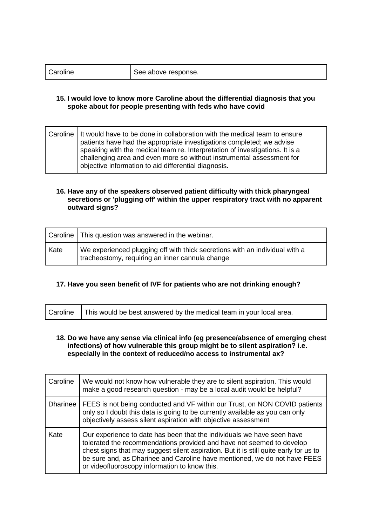| Caroline | See above response. |
|----------|---------------------|
|----------|---------------------|

#### **15. I would love to know more Caroline about the differential diagnosis that you spoke about for people presenting with feds who have covid**

|  | Caroline   It would have to be done in collaboration with the medical team to ensure<br>patients have had the appropriate investigations completed; we advise<br>speaking with the medical team re. Interpretation of investigations. It is a |
|--|-----------------------------------------------------------------------------------------------------------------------------------------------------------------------------------------------------------------------------------------------|
|  | challenging area and even more so without instrumental assessment for<br>objective information to aid differential diagnosis.                                                                                                                 |

#### **16. Have any of the speakers observed patient difficulty with thick pharyngeal secretions or 'plugging off' within the upper respiratory tract with no apparent outward signs?**

|      | Caroline   This question was answered in the webinar.                                                                          |
|------|--------------------------------------------------------------------------------------------------------------------------------|
| Kate | We experienced plugging off with thick secretions with an individual with a<br>tracheostomy, requiring an inner cannula change |

# **17. Have you seen benefit of IVF for patients who are not drinking enough?**

| Caroline   This would be best answered by the medical team in your local area. |  |
|--------------------------------------------------------------------------------|--|
|--------------------------------------------------------------------------------|--|

#### **18. Do we have any sense via clinical info (eg presence/absence of emerging chest infections) of how vulnerable this group might be to silent aspiration? i.e. especially in the context of reduced/no access to instrumental ax?**

| Caroline | We would not know how vulnerable they are to silent aspiration. This would<br>make a good research question - may be a local audit would be helpful?                                                                                                                                                                                                                   |
|----------|------------------------------------------------------------------------------------------------------------------------------------------------------------------------------------------------------------------------------------------------------------------------------------------------------------------------------------------------------------------------|
| Dharinee | FEES is not being conducted and VF within our Trust, on NON COVID patients<br>only so I doubt this data is going to be currently available as you can only<br>objectively assess silent aspiration with objective assessment                                                                                                                                           |
| Kate     | Our experience to date has been that the individuals we have seen have<br>tolerated the recommendations provided and have not seemed to develop<br>chest signs that may suggest silent aspiration. But it is still quite early for us to<br>be sure and, as Dharinee and Caroline have mentioned, we do not have FEES<br>or videofluoroscopy information to know this. |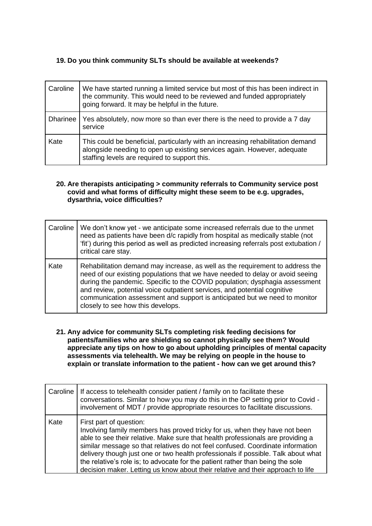## **19. Do you think community SLTs should be available at weekends?**

| Caroline        | We have started running a limited service but most of this has been indirect in<br>the community. This would need to be reviewed and funded appropriately<br>going forward. It may be helpful in the future. |
|-----------------|--------------------------------------------------------------------------------------------------------------------------------------------------------------------------------------------------------------|
| <b>Dharinee</b> | Yes absolutely, now more so than ever there is the need to provide a 7 day<br>service                                                                                                                        |
| Kate            | This could be beneficial, particularly with an increasing rehabilitation demand<br>alongside needing to open up existing services again. However, adequate<br>staffing levels are required to support this.  |

#### **20. Are therapists anticipating > community referrals to Community service post covid and what forms of difficulty might these seem to be e.g. upgrades, dysarthria, voice difficulties?**

| Caroline | We don't know yet - we anticipate some increased referrals due to the unmet<br>need as patients have been d/c rapidly from hospital as medically stable (not<br>'fit') during this period as well as predicted increasing referrals post extubation /<br>critical care stay.                                                                                                                                                                 |
|----------|----------------------------------------------------------------------------------------------------------------------------------------------------------------------------------------------------------------------------------------------------------------------------------------------------------------------------------------------------------------------------------------------------------------------------------------------|
| Kate     | Rehabilitation demand may increase, as well as the requirement to address the<br>need of our existing populations that we have needed to delay or avoid seeing<br>during the pandemic. Specific to the COVID population; dysphagia assessment<br>and review, potential voice outpatient services, and potential cognitive<br>communication assessment and support is anticipated but we need to monitor<br>closely to see how this develops. |

**21. Any advice for community SLTs completing risk feeding decisions for patients/families who are shielding so cannot physically see them? Would appreciate any tips on how to go about upholding principles of mental capacity assessments via telehealth. We may be relying on people in the house to explain or translate information to the patient - how can we get around this?**

| Caroline | If access to telehealth consider patient / family on to facilitate these<br>conversations. Similar to how you may do this in the OP setting prior to Covid -<br>involvement of MDT / provide appropriate resources to facilitate discussions.                                                                                                                                                                                                                                                                                        |
|----------|--------------------------------------------------------------------------------------------------------------------------------------------------------------------------------------------------------------------------------------------------------------------------------------------------------------------------------------------------------------------------------------------------------------------------------------------------------------------------------------------------------------------------------------|
| Kate     | First part of question:<br>Involving family members has proved tricky for us, when they have not been<br>able to see their relative. Make sure that health professionals are providing a<br>similar message so that relatives do not feel confused. Coordinate information<br>delivery though just one or two health professionals if possible. Talk about what<br>the relative's role is; to advocate for the patient rather than being the sole<br>decision maker. Letting us know about their relative and their approach to life |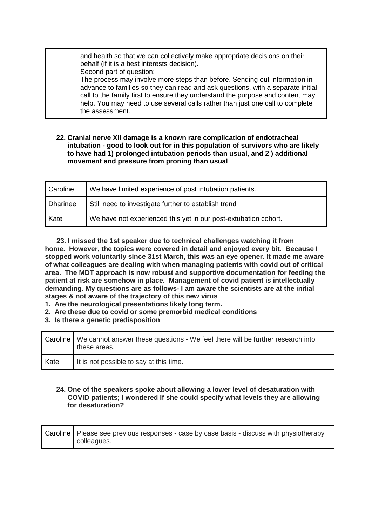#### **22. Cranial nerve XII damage is a known rare complication of endotracheal intubation - good to look out for in this population of survivors who are likely to have had 1) prolonged intubation periods than usual, and 2 ) additional movement and pressure from proning than usual**

| Caroline        | We have limited experience of post intubation patients.         |
|-----------------|-----------------------------------------------------------------|
| <b>Dharinee</b> | Still need to investigate further to establish trend            |
| Kate            | We have not experienced this yet in our post-extubation cohort. |

 **23. I missed the 1st speaker due to technical challenges watching it from home. However, the topics were covered in detail and enjoyed every bit. Because I stopped work voluntarily since 31st March, this was an eye opener. It made me aware of what colleagues are dealing with when managing patients with covid out of critical area. The MDT approach is now robust and supportive documentation for feeding the patient at risk are somehow in place. Management of covid patient is intellectually demanding. My questions are as follows- I am aware the scientists are at the initial stages & not aware of the trajectory of this new virus**

- **1. Are the neurological presentations likely long term.**
- **2. Are these due to covid or some premorbid medical conditions**
- **3. Is there a genetic predisposition**

|      | Caroline   We cannot answer these questions - We feel there will be further research into<br>these areas. |
|------|-----------------------------------------------------------------------------------------------------------|
| Kate | It is not possible to say at this time.                                                                   |

#### **24. One of the speakers spoke about allowing a lower level of desaturation with COVID patients; I wondered If she could specify what levels they are allowing for desaturation?**

| Caroline   Please see previous responses - case by case basis - discuss with physiotherapy |
|--------------------------------------------------------------------------------------------|
| colleagues.                                                                                |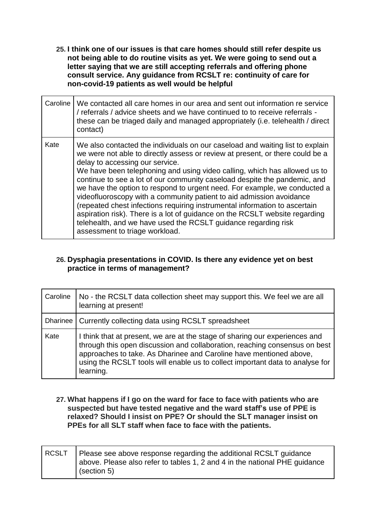**25. I think one of our issues is that care homes should still refer despite us not being able to do routine visits as yet. We were going to send out a letter saying that we are still accepting referrals and offering phone consult service. Any guidance from RCSLT re: continuity of care for non-covid-19 patients as well would be helpful**

| Caroline | We contacted all care homes in our area and sent out information re service<br>/ referrals / advice sheets and we have continued to to receive referrals -<br>these can be triaged daily and managed appropriately (i.e. telehealth / direct<br>contact)                                                                                                                                                                                                                                                                                                                                                                                                                                                                                                                          |
|----------|-----------------------------------------------------------------------------------------------------------------------------------------------------------------------------------------------------------------------------------------------------------------------------------------------------------------------------------------------------------------------------------------------------------------------------------------------------------------------------------------------------------------------------------------------------------------------------------------------------------------------------------------------------------------------------------------------------------------------------------------------------------------------------------|
| Kate     | We also contacted the individuals on our caseload and waiting list to explain<br>we were not able to directly assess or review at present, or there could be a<br>delay to accessing our service.<br>We have been telephoning and using video calling, which has allowed us to<br>continue to see a lot of our community caseload despite the pandemic, and<br>we have the option to respond to urgent need. For example, we conducted a<br>videofluoroscopy with a community patient to aid admission avoidance<br>(repeated chest infections requiring instrumental information to ascertain<br>aspiration risk). There is a lot of guidance on the RCSLT website regarding<br>telehealth, and we have used the RCSLT guidance regarding risk<br>assessment to triage workload. |

# **26. Dysphagia presentations in COVID. Is there any evidence yet on best practice in terms of management?**

| Caroline | No - the RCSLT data collection sheet may support this. We feel we are all<br>learning at present!                                                                                                                                                                                                                             |
|----------|-------------------------------------------------------------------------------------------------------------------------------------------------------------------------------------------------------------------------------------------------------------------------------------------------------------------------------|
|          | Dharinee   Currently collecting data using RCSLT spreadsheet                                                                                                                                                                                                                                                                  |
| Kate     | I think that at present, we are at the stage of sharing our experiences and<br>through this open discussion and collaboration, reaching consensus on best<br>approaches to take. As Dharinee and Caroline have mentioned above,<br>using the RCSLT tools will enable us to collect important data to analyse for<br>learning. |

**27. What happens if I go on the ward for face to face with patients who are suspected but have tested negative and the ward staff's use of PPE is relaxed? Should I insist on PPE? Or should the SLT manager insist on PPEs for all SLT staff when face to face with the patients.**

| RCSLT   Please see above response regarding the additional RCSLT guidance<br>above. Please also refer to tables 1, 2 and 4 in the national PHE guidance |
|---------------------------------------------------------------------------------------------------------------------------------------------------------|
|                                                                                                                                                         |